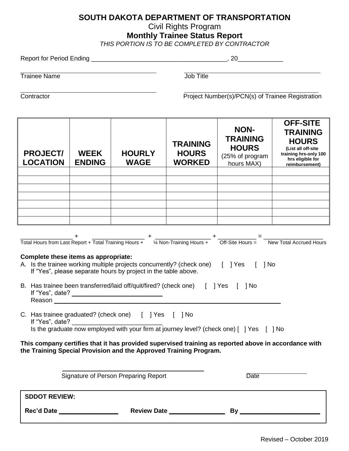## **SOUTH DAKOTA DEPARTMENT OF TRANSPORTATION**

Civil Rights Program

**Monthly Trainee Status Report**

*THIS PORTION IS TO BE COMPLETED BY CONTRACTOR*

| <b>Trainee Name</b>                  |                              |                                                                                                                                                               | Job Title                                                                                                                                            |                                                                                                                                                                                                                                                                                                                                                                                                                                                                                                                                                                                                                        |                                                                                                                                         |
|--------------------------------------|------------------------------|---------------------------------------------------------------------------------------------------------------------------------------------------------------|------------------------------------------------------------------------------------------------------------------------------------------------------|------------------------------------------------------------------------------------------------------------------------------------------------------------------------------------------------------------------------------------------------------------------------------------------------------------------------------------------------------------------------------------------------------------------------------------------------------------------------------------------------------------------------------------------------------------------------------------------------------------------------|-----------------------------------------------------------------------------------------------------------------------------------------|
|                                      |                              |                                                                                                                                                               |                                                                                                                                                      |                                                                                                                                                                                                                                                                                                                                                                                                                                                                                                                                                                                                                        |                                                                                                                                         |
| <b>PROJECT/</b><br><b>LOCATION</b>   | <b>WEEK</b><br><b>ENDING</b> | <b>HOURLY</b><br><b>WAGE</b>                                                                                                                                  | <b>TRAINING</b><br><b>HOURS</b><br><b>WORKED</b>                                                                                                     | <b>NON-</b><br><b>TRAINING</b><br><b>HOURS</b><br>(25% of program<br>hours MAX)                                                                                                                                                                                                                                                                                                                                                                                                                                                                                                                                        | <b>OFF-SITE</b><br><b>TRAINING</b><br><b>HOURS</b><br>(List all off-site<br>training hrs-only 100<br>hrs eligible for<br>reimbursement) |
|                                      |                              |                                                                                                                                                               |                                                                                                                                                      |                                                                                                                                                                                                                                                                                                                                                                                                                                                                                                                                                                                                                        |                                                                                                                                         |
|                                      |                              |                                                                                                                                                               |                                                                                                                                                      |                                                                                                                                                                                                                                                                                                                                                                                                                                                                                                                                                                                                                        |                                                                                                                                         |
|                                      |                              |                                                                                                                                                               |                                                                                                                                                      |                                                                                                                                                                                                                                                                                                                                                                                                                                                                                                                                                                                                                        |                                                                                                                                         |
|                                      |                              |                                                                                                                                                               |                                                                                                                                                      |                                                                                                                                                                                                                                                                                                                                                                                                                                                                                                                                                                                                                        |                                                                                                                                         |
| Complete these items as appropriate: |                              | If "Yes", please separate hours by project in the table above.<br>Reason <b>Exercise Section 2008</b><br>C. Has trainee graduated? (check one) [ ] Yes [ ] No | B. Has trainee been transferred/laid off/quit/fired? (check one) [ ] Yes [ ] No<br>the Training Special Provision and the Approved Training Program. | $\frac{+}{+}$ + $\frac{+}{+}$ + $\frac{+}{+}$ + $\frac{+}{+}$ + $\frac{+}{+}$ + $\frac{+}{-}$ + $\frac{+}{-}$ + $\frac{+}{-}$ + $\frac{+}{-}$ + $\frac{+}{-}$ + $\frac{+}{-}$ + $\frac{+}{-}$ + $\frac{+}{-}$ + $\frac{+}{-}$ + $\frac{+}{-}$ + $\frac{+}{-}$ + $\frac{+}{-}$ + $\frac{+}{-}$ + $\frac{+$<br>A. Is the trainee working multiple projects concurrently? (check one) [] Yes [] No<br>If "Yes", date?<br>Is the graduate now employed with your firm at journey level? (check one) [ ] Yes [ ] No<br>This company certifies that it has provided supervised training as reported above in accordance with |                                                                                                                                         |
| Signature of Person Preparing Report |                              |                                                                                                                                                               |                                                                                                                                                      | <b>Date</b>                                                                                                                                                                                                                                                                                                                                                                                                                                                                                                                                                                                                            |                                                                                                                                         |
| <b>SDDOT REVIEW:</b>                 |                              |                                                                                                                                                               |                                                                                                                                                      |                                                                                                                                                                                                                                                                                                                                                                                                                                                                                                                                                                                                                        |                                                                                                                                         |
| Rec'd Date __________________        |                              |                                                                                                                                                               | Review Date ________________                                                                                                                         |                                                                                                                                                                                                                                                                                                                                                                                                                                                                                                                                                                                                                        | By                                                                                                                                      |